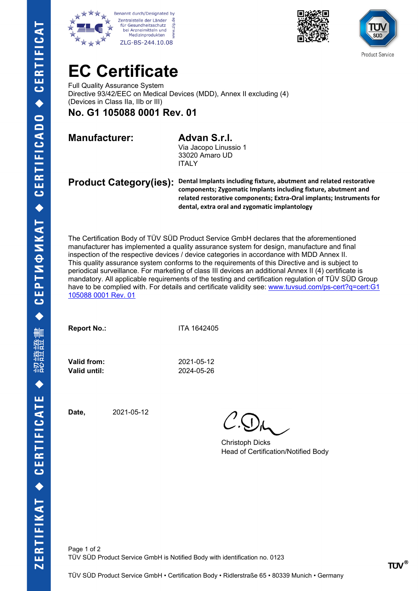







## **EC Certificate**

Full Quality Assurance System Directive 93/42/EEC on Medical Devices (MDD), Annex II excluding (4) (Devices in Class IIa, IIb or III)

**No. G1 105088 0001 Rev. 01**

**Manufacturer: Advan S.r.l.**

Via Jacopo Linussio 1 33020 Amaro UD ITALY

**Product Category(ies): Dental Implants including fixture, abutment and related restorative components; Zygomatic Implants including fixture, abutment and related restorative components; Extra-Oral implants; Instruments for dental, extra oral and zygomatic implantology**

The Certification Body of TÜV SÜD Product Service GmbH declares that the aforementioned manufacturer has implemented a quality assurance system for design, manufacture and final inspection of the respective devices / device categories in accordance with MDD Annex II. This quality assurance system conforms to the requirements of this Directive and is subject to periodical surveillance. For marketing of class III devices an additional Annex II (4) certificate is mandatory. All applicable requirements of the testing and certification regulation of TÜV SÜD Group have to be complied with. For details and certificate validity see: www.tuvsud.com/ps-cert?q=cert:G1 [105088 0001 Rev. 01](http://www.tuvsud.com/ps-cert?q=cert:G1%20105088%200001%20Rev.%2001) 

**Report No.:** ITA 1642405

**Valid until:** 2024-05-26

**Valid from:** 2021-05-12

**Date,** 2021-05-12

Christoph Dicks Head of Certification/Notified Body